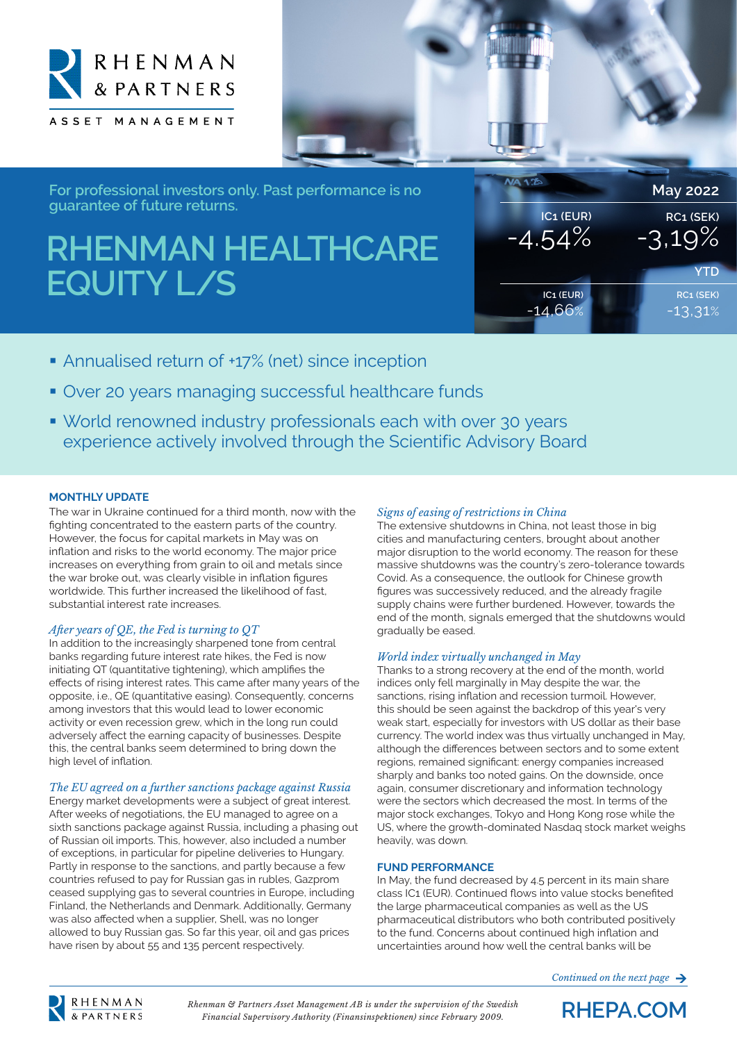



**For professional investors only. Past performance is no guarantee of future returns.**

# **RHENMAN HEALTHCARE EQUITY L/S**



- Annualised return of +17% (net) since inception
- Over 20 years managing successful healthcare funds
- World renowned industry professionals each with over 30 years experience actively involved through the Scientific Advisory Board

# **MONTHLY UPDATE**

The war in Ukraine continued for a third month, now with the fighting concentrated to the eastern parts of the country. However, the focus for capital markets in May was on inflation and risks to the world economy. The major price increases on everything from grain to oil and metals since the war broke out, was clearly visible in inflation figures worldwide. This further increased the likelihood of fast. substantial interest rate increases.

# *After years of QE, the Fed is turning to QT*

In addition to the increasingly sharpened tone from central banks regarding future interest rate hikes, the Fed is now initiating QT (quantitative tightening), which amplifies the effects of rising interest rates. This came after many years of the opposite, i.e., QE (quantitative easing). Consequently, concerns among investors that this would lead to lower economic activity or even recession grew, which in the long run could adversely affect the earning capacity of businesses. Despite this, the central banks seem determined to bring down the high level of inflation.

# *The EU agreed on a further sanctions package against Russia*

Energy market developments were a subject of great interest. After weeks of negotiations, the EU managed to agree on a sixth sanctions package against Russia, including a phasing out of Russian oil imports. This, however, also included a number of exceptions, in particular for pipeline deliveries to Hungary. Partly in response to the sanctions, and partly because a few countries refused to pay for Russian gas in rubles, Gazprom ceased supplying gas to several countries in Europe, including Finland, the Netherlands and Denmark. Additionally, Germany was also affected when a supplier, Shell, was no longer allowed to buy Russian gas. So far this year, oil and gas prices have risen by about 55 and 135 percent respectively.

# *Signs of easing of restrictions in China*

The extensive shutdowns in China, not least those in big cities and manufacturing centers, brought about another major disruption to the world economy. The reason for these massive shutdowns was the country's zero-tolerance towards Covid. As a consequence, the outlook for Chinese growth figures was successively reduced, and the already fragile supply chains were further burdened. However, towards the end of the month, signals emerged that the shutdowns would gradually be eased.

# *World index virtually unchanged in May*

Thanks to a strong recovery at the end of the month, world indices only fell marginally in May despite the war, the sanctions, rising inflation and recession turmoil. However, this should be seen against the backdrop of this year's very weak start, especially for investors with US dollar as their base currency. The world index was thus virtually unchanged in May, although the differences between sectors and to some extent regions, remained significant: energy companies increased sharply and banks too noted gains. On the downside, once again, consumer discretionary and information technology were the sectors which decreased the most. In terms of the major stock exchanges, Tokyo and Hong Kong rose while the US, where the growth-dominated Nasdaq stock market weighs heavily, was down.

#### **FUND PERFORMANCE**

In May, the fund decreased by 4.5 percent in its main share class IC1 (EUR). Continued flows into value stocks benefited the large pharmaceutical companies as well as the US pharmaceutical distributors who both contributed positively to the fund. Concerns about continued high inflation and uncertainties around how well the central banks will be

*Continued on the next page* 

**RHEPA.COM**

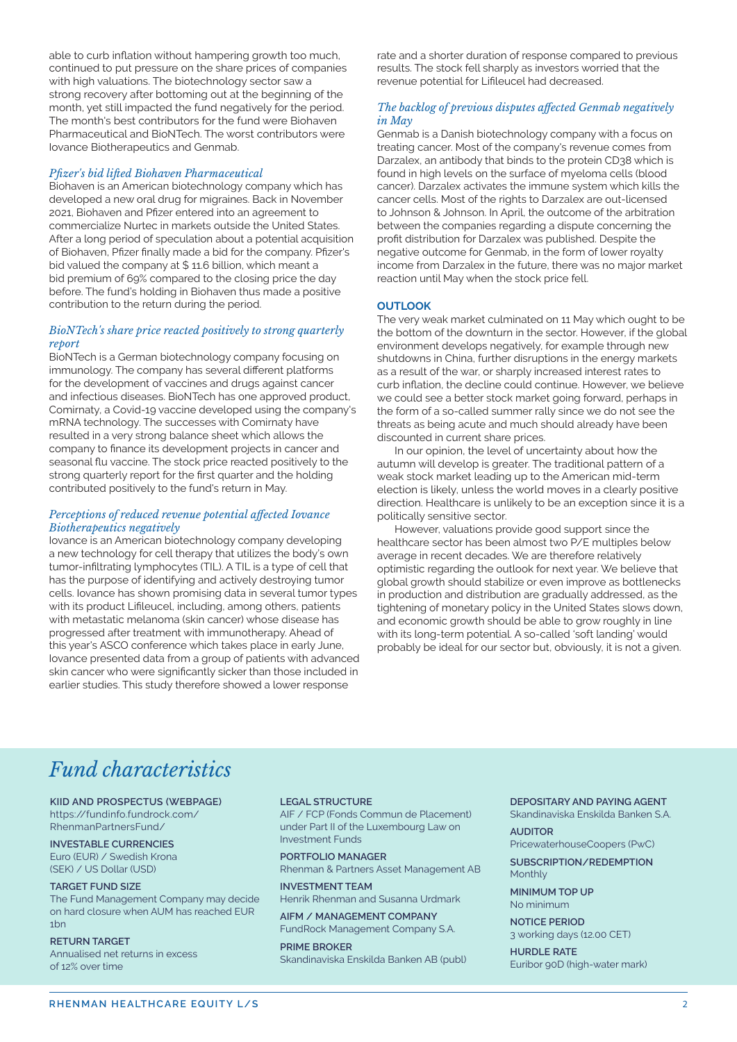able to curb inflation without hampering growth too much, continued to put pressure on the share prices of companies with high valuations. The biotechnology sector saw a strong recovery after bottoming out at the beginning of the month, yet still impacted the fund negatively for the period. The month's best contributors for the fund were Biohaven Pharmaceutical and BioNTech. The worst contributors were Iovance Biotherapeutics and Genmab.

#### *Pfizer's bid lifted Biohaven Pharmaceutical*

Biohaven is an American biotechnology company which has developed a new oral drug for migraines. Back in November 2021, Biohaven and Pfizer entered into an agreement to commercialize Nurtec in markets outside the United States. After a long period of speculation about a potential acquisition of Biohaven, Pfizer finally made a bid for the company. Pfizer's bid valued the company at \$ 11.6 billion, which meant a bid premium of 69% compared to the closing price the day before. The fund's holding in Biohaven thus made a positive contribution to the return during the period.

# *BioNTech's share price reacted positively to strong quarterly report*

BioNTech is a German biotechnology company focusing on immunology. The company has several different platforms for the development of vaccines and drugs against cancer and infectious diseases. BioNTech has one approved product, Comirnaty, a Covid-19 vaccine developed using the company's mRNA technology. The successes with Comirnaty have resulted in a very strong balance sheet which allows the company to finance its development projects in cancer and seasonal flu vaccine. The stock price reacted positively to the strong quarterly report for the first quarter and the holding contributed positively to the fund's return in May.

# *Perceptions of reduced revenue potential affected Iovance Biotherapeutics negatively*

Iovance is an American biotechnology company developing a new technology for cell therapy that utilizes the body's own tumor-infiltrating lymphocytes (TIL). A TIL is a type of cell that has the purpose of identifying and actively destroying tumor cells. Iovance has shown promising data in several tumor types with its product Lifileucel, including, among others, patients with metastatic melanoma (skin cancer) whose disease has progressed after treatment with immunotherapy. Ahead of this year's ASCO conference which takes place in early June, Iovance presented data from a group of patients with advanced skin cancer who were significantly sicker than those included in earlier studies. This study therefore showed a lower response

rate and a shorter duration of response compared to previous results. The stock fell sharply as investors worried that the revenue potential for Lifileucel had decreased.

# *The backlog of previous disputes affected Genmab negatively in May*

Genmab is a Danish biotechnology company with a focus on treating cancer. Most of the company's revenue comes from Darzalex, an antibody that binds to the protein CD38 which is found in high levels on the surface of myeloma cells (blood cancer). Darzalex activates the immune system which kills the cancer cells. Most of the rights to Darzalex are out-licensed to Johnson & Johnson. In April, the outcome of the arbitration between the companies regarding a dispute concerning the profit distribution for Darzalex was published. Despite the negative outcome for Genmab, in the form of lower royalty income from Darzalex in the future, there was no major market reaction until May when the stock price fell.

#### **OUTLOOK**

The very weak market culminated on 11 May which ought to be the bottom of the downturn in the sector. However, if the global environment develops negatively, for example through new shutdowns in China, further disruptions in the energy markets as a result of the war, or sharply increased interest rates to curb inflation, the decline could continue. However, we believe we could see a better stock market going forward, perhaps in the form of a so-called summer rally since we do not see the threats as being acute and much should already have been discounted in current share prices.

In our opinion, the level of uncertainty about how the autumn will develop is greater. The traditional pattern of a weak stock market leading up to the American mid-term election is likely, unless the world moves in a clearly positive direction. Healthcare is unlikely to be an exception since it is a politically sensitive sector.

However, valuations provide good support since the healthcare sector has been almost two P/E multiples below average in recent decades. We are therefore relatively optimistic regarding the outlook for next year. We believe that global growth should stabilize or even improve as bottlenecks in production and distribution are gradually addressed, as the tightening of monetary policy in the United States slows down, and economic growth should be able to grow roughly in line with its long-term potential. A so-called 'soft landing' would probably be ideal for our sector but, obviously, it is not a given.

# *Fund characteristics*

**KIID AND PROSPECTUS (WEBPAGE)** https://fundinfo.fundrock.com/ RhenmanPartnersFund/

**INVESTABLE CURRENCIES** Euro (EUR) / Swedish Krona (SEK) / US Dollar (USD)

#### **TARGET FUND SIZE**

The Fund Management Company may decide on hard closure when AUM has reached EUR 1bn

#### **RETURN TARGET**

Annualised net returns in excess of 12% over time

#### **LEGAL STRUCTURE**

AIF / FCP (Fonds Commun de Placement) under Part II of the Luxembourg Law on Investment Funds

**PORTFOLIO MANAGER** Rhenman & Partners Asset Management AB

**INVESTMENT TEAM** Henrik Rhenman and Susanna Urdmark

**AIFM / MANAGEMENT COMPANY** FundRock Management Company S.A.

#### **PRIME BROKER** Skandinaviska Enskilda Banken AB (publ)

**DEPOSITARY AND PAYING AGENT**

Skandinaviska Enskilda Banken S.A.

**AUDITOR** PricewaterhouseCoopers (PwC) **SUBSCRIPTION/REDEMPTION**

Monthly **MINIMUM TOP UP**

No minimum

**NOTICE PERIOD** 3 working days (12.00 CET)

**HURDLE RATE** Euribor 90D (high-water mark)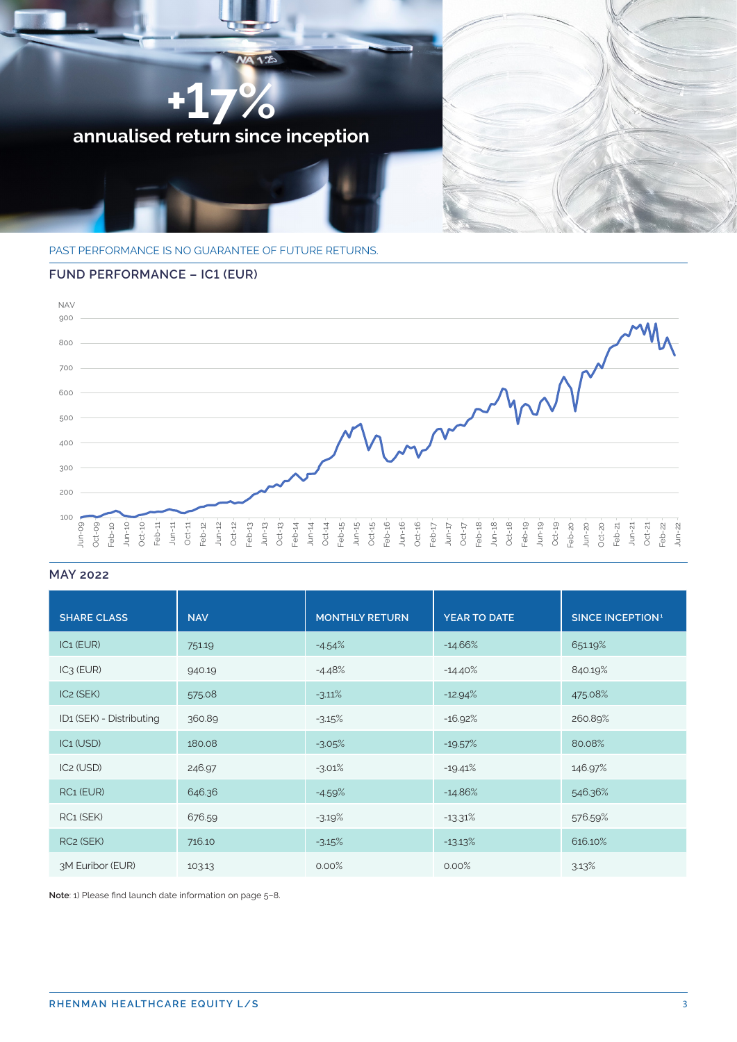

PAST PERFORMANCE IS NO GUARANTEE OF FUTURE RETURNS.

# **FUND PERFORMANCE – IC1 (EUR)**



# **MAY 2022**

| <b>SHARE CLASS</b>       | <b>NAV</b> | <b>MONTHLY RETURN</b> | <b>YEAR TO DATE</b> | <b>SINCE INCEPTION<sup>1</sup></b> |
|--------------------------|------------|-----------------------|---------------------|------------------------------------|
| IC <sub>1</sub> (EUR)    | 751.19     | $-4.54%$              | $-14.66%$           | 651.19%                            |
| IC <sub>3</sub> (EUR)    | 940.19     | $-4.48%$              | $-14.40%$           | 840.19%                            |
| IC <sub>2</sub> (SEK)    | 575.08     | $-3.11%$              | $-12.94%$           | 475.08%                            |
| ID1 (SEK) - Distributing | 360.89     | $-3.15%$              | $-16.92%$           | 260.89%                            |
| IC <sub>1</sub> (USD)    | 180.08     | $-3.05%$              | $-19.57%$           | 80.08%                             |
| IC <sub>2</sub> (USD)    | 246.97     | $-3.01%$              | $-19.41%$           | 146.97%                            |
| RC <sub>1</sub> (EUR)    | 646.36     | $-4.59%$              | $-14.86%$           | 546.36%                            |
| RC1 (SEK)                | 676.59     | $-3.19%$              | $-13.31%$           | 576.59%                            |
| RC <sub>2</sub> (SEK)    | 716.10     | $-3.15%$              | $-13.13%$           | 616.10%                            |
| 3M Euribor (EUR)         | 103.13     | 0.00%                 | 0.00%               | 3.13%                              |

**Note**: 1) Please find launch date information on page 5–8.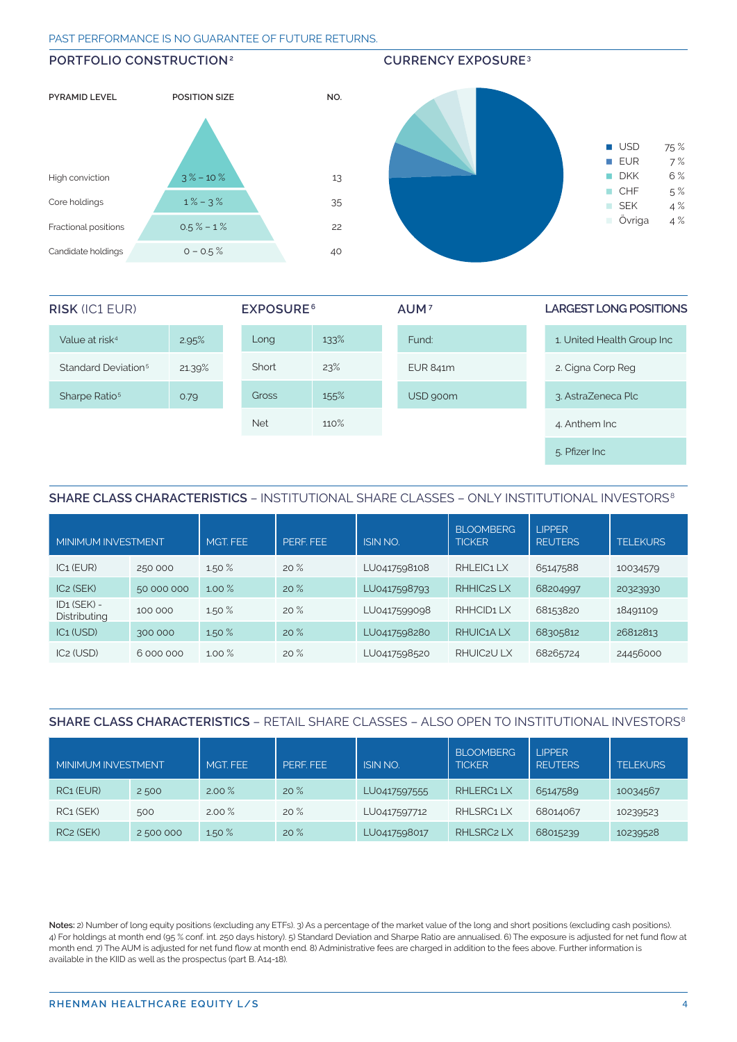### PAST PERFORMANCE IS NO GUARANTEE OF FUTURE RETURNS.

**PORTFOLIO CONSTRUCTION2 CURRENCY EXPOSURE3 PYRAMID LEVEL POSITION SIZE NO.** High conviction  $3\% - 10\%$  13 Core holdings  $1\% - 3\%$  35 Fractional positions  $0.5\% - 1\%$  22 Candidate holdings  $0 - 0.5\%$  40  $\blacksquare$  USD 75 %  $EUR$  7% **DKK 6%**  $CHF$  5%  $SEK$  4% Övriga 4 %

| <b>RISK (IC1 EUR)</b>           |        | <b>EXPOSURE<sup>6</sup></b> |      | AUM <sub>7</sub> | <b>LARGEST LONG POSITIONS</b> |
|---------------------------------|--------|-----------------------------|------|------------------|-------------------------------|
| Value at risk <sup>4</sup>      | 2.95%  | Long                        | 133% | Fund:            | 1. United Health Group Inc    |
| Standard Deviation <sup>5</sup> | 21.39% | Short                       | 23%  | <b>EUR 841m</b>  | 2. Cigna Corp Reg             |
| Sharpe Ratio <sup>5</sup>       | 0.79   | Gross                       | 155% | USD 900m         | 3. AstraZeneca Plc            |
|                                 |        | <b>Net</b>                  | 110% |                  | 4. Anthem Inc                 |
|                                 |        |                             |      |                  | 5. Pfizer Inc                 |

# **SHARE CLASS CHARACTERISTICS - INSTITUTIONAL SHARE CLASSES - ONLY INSTITUTIONAL INVESTORS<sup>8</sup>**

| MINIMUM INVESTMENT            |            | MGT. FEE | PERF. FEE | <b>ISIN NO.</b> | <b>BLOOMBERG</b><br><b>TICKER</b> | <b>LIPPER</b><br><b>REUTERS</b> | <b>TELEKURS</b> |
|-------------------------------|------------|----------|-----------|-----------------|-----------------------------------|---------------------------------|-----------------|
| IC <sub>1</sub> (EUR)         | 250 000    | 1.50%    | 20%       | LU0417598108    | RHLEIC1 LX                        | 65147588                        | 10034579        |
| IC <sub>2</sub> (SEK)         | 50 000 000 | $1.00\%$ | 20%       | LU0417598793    | RHHIC <sub>2</sub> SLX            | 68204997                        | 20323930        |
| $ID1$ (SEK) -<br>Distributing | 100 000    | 1.50 %   | 20%       | LU0417599098    | RHHCID1 LX                        | 68153820                        | 18491109        |
| IC <sub>1</sub> (USD)         | 300 000    | 1.50%    | 20%       | LU0417598280    | RHUIC <sub>1</sub> ALX            | 68305812                        | 26812813        |
| IC <sub>2</sub> (USD)         | 6 000 000  | $1.00\%$ | 20%       | LU0417598520    | RHUIC <sub>2</sub> U LX           | 68265724                        | 24456000        |

# **SHARE CLASS CHARACTERISTICS** – RETAIL SHARE CLASSES – ALSO OPEN TO INSTITUTIONAL INVESTORS8

| MINIMUM INVESTMENT    |         | MGT. FEE | PERF. FEE | <b>ISIN NO.</b> | <b>BLOOMBERG</b><br><b>TICKER</b> | <b>I IPPFR</b><br><b>REUTERS</b> | <b>TELEKURS</b> |
|-----------------------|---------|----------|-----------|-----------------|-----------------------------------|----------------------------------|-----------------|
| RC <sub>1</sub> (EUR) | 2500    | $2.00\%$ | 20%       | LU0417597555    | RHLERC1 LX                        | 65147589                         | 10034567        |
| RC1 (SEK)             | 500     | $2.00\%$ | 20%       | LU0417597712    | RHLSRC1LX                         | 68014067                         | 10239523        |
| RC <sub>2</sub> (SEK) | 2500000 | 1.50%    | 20%       | LU0417598017    | RHLSRC <sub>2</sub> LX            | 68015239                         | 10239528        |

Notes: 2) Number of long equity positions (excluding any ETFs). 3) As a percentage of the market value of the long and short positions (excluding cash positions) 4) For holdings at month end (95 % conf. int. 250 days history). 5) Standard Deviation and Sharpe Ratio are annualised. 6) The exposure is adjusted for net fund flow at month end. 7) The AUM is adjusted for net fund flow at month end. 8) Administrative fees are charged in addition to the fees above. Further information is available in the KIID as well as the prospectus (part B. A14-18).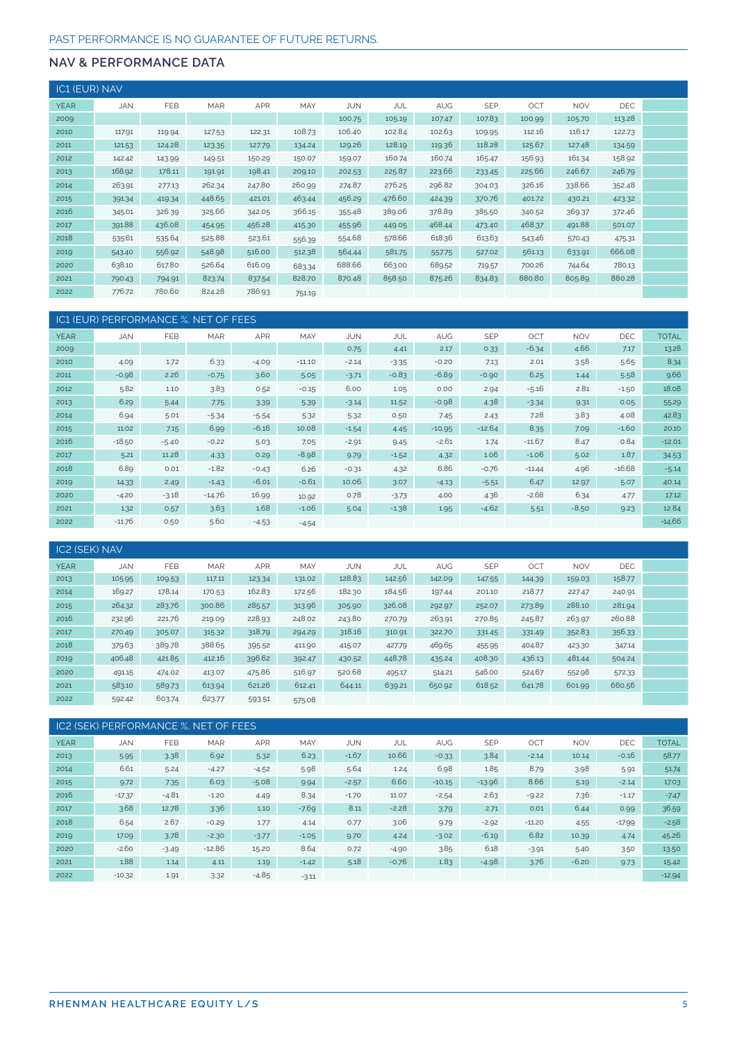| <b>IC1 (EUR) NAV</b> |            |        |            |            |        |        |        |            |            |        |            |            |  |
|----------------------|------------|--------|------------|------------|--------|--------|--------|------------|------------|--------|------------|------------|--|
| <b>YEAR</b>          | <b>JAN</b> | FEB    | <b>MAR</b> | <b>APR</b> | MAY    | JUN    | JUL    | <b>AUG</b> | <b>SEP</b> | OCT    | <b>NOV</b> | <b>DEC</b> |  |
| 2009                 |            |        |            |            |        | 100.75 | 105.19 | 107.47     | 107.83     | 100.99 | 105.70     | 113.28     |  |
| 2010                 | 117.91     | 119.94 | 127.53     | 122.31     | 108.73 | 106.40 | 102.84 | 102.63     | 109.95     | 112.16 | 116.17     | 122.73     |  |
| 2011                 | 121.53     | 124.28 | 123.35     | 127.79     | 134.24 | 129.26 | 128.19 | 119.36     | 118.28     | 125.67 | 127.48     | 134.59     |  |
| 2012                 | 142.42     | 143.99 | 149.51     | 150.29     | 150.07 | 159.07 | 160.74 | 160.74     | 165.47     | 156.93 | 161.34     | 158.92     |  |
| 2013                 | 168.92     | 178.11 | 191.91     | 198.41     | 209.10 | 202.53 | 225.87 | 223.66     | 233.45     | 225.66 | 246.67     | 246.79     |  |
| 2014                 | 263.91     | 277.13 | 262.34     | 247.80     | 260.99 | 274.87 | 276.25 | 296.82     | 304.03     | 326.16 | 338.66     | 352.48     |  |
| 2015                 | 391.34     | 419.34 | 448.65     | 421.01     | 463.44 | 456.29 | 476.60 | 424.39     | 370.76     | 401.72 | 430.21     | 423.32     |  |
| 2016                 | 345.01     | 326.39 | 325.66     | 342.05     | 366.15 | 355.48 | 389.06 | 378.89     | 385.50     | 340.52 | 369.37     | 372.46     |  |
| 2017                 | 391.88     | 436.08 | 454.95     | 456.28     | 415.30 | 455.96 | 449.05 | 468.44     | 473.40     | 468.37 | 491.88     | 501.07     |  |
| 2018                 | 535.61     | 535.64 | 525.88     | 523.61     | 556.39 | 554.68 | 578.66 | 618.36     | 613.63     | 543.46 | 570.43     | 475.31     |  |
| 2019                 | 543.40     | 556.92 | 548.98     | 516.00     | 512.38 | 564.44 | 581.75 | 557.75     | 527.02     | 561.13 | 633.91     | 666.08     |  |
| 2020                 | 638.10     | 617.80 | 526.64     | 616.09     | 683.34 | 688.66 | 663.00 | 689.52     | 719.57     | 700.26 | 744.64     | 780.13     |  |
| 2021                 | 790.43     | 794.91 | 823.74     | 837.54     | 828.70 | 870.48 | 858.50 | 875.26     | 834.83     | 880.80 | 805.89     | 880.28     |  |
| 2022                 | 776.72     | 780.60 | 824.28     | 786.93     | 751.19 |        |        |            |            |        |            |            |  |

|             | IC1 (EUR) PERFORMANCE %. NET OF FEES |            |            |            |          |            |         |            |            |          |            |          |              |
|-------------|--------------------------------------|------------|------------|------------|----------|------------|---------|------------|------------|----------|------------|----------|--------------|
| <b>YEAR</b> | <b>JAN</b>                           | <b>FEB</b> | <b>MAR</b> | <b>APR</b> | MAY      | <b>JUN</b> | JUL     | <b>AUG</b> | <b>SEP</b> | OCT      | <b>NOV</b> | DEC      | <b>TOTAL</b> |
| 2009        |                                      |            |            |            |          | 0.75       | 4.41    | 2.17       | 0.33       | $-6.34$  | 4.66       | 7.17     | 13.28        |
| 2010        | 4.09                                 | 1.72       | 6.33       | $-4.09$    | $-11.10$ | $-2.14$    | $-3.35$ | $-0.20$    | 7.13       | 2.01     | 3.58       | 5.65     | 8.34         |
| 2011        | $-0.98$                              | 2.26       | $-0.75$    | 3.60       | 5.05     | $-3.71$    | $-0.83$ | $-6.89$    | $-0.90$    | 6.25     | 1.44       | 5.58     | 9.66         |
| 2012        | 5.82                                 | 1.10       | 3.83       | 0.52       | $-0.15$  | 6.00       | 1.05    | 0.00       | 2.94       | $-5.16$  | 2.81       | $-1.50$  | 18.08        |
| 2013        | 6.29                                 | 5.44       | 7.75       | 3.39       | 5.39     | $-3.14$    | 11.52   | $-0.98$    | 4.38       | $-3.34$  | 9.31       | 0.05     | 55.29        |
| 2014        | 6.94                                 | 5.01       | $-5.34$    | $-5.54$    | 5.32     | 5.32       | 0.50    | 7.45       | 2.43       | 7.28     | 3.83       | 4.08     | 42.83        |
| 2015        | 11.02                                | 7.15       | 6.99       | $-6.16$    | 10.08    | $-1.54$    | 4.45    | $-10.95$   | $-12.64$   | 8.35     | 7.09       | $-1.60$  | 20.10        |
| 2016        | $-18.50$                             | $-5.40$    | $-0.22$    | 5.03       | 7.05     | $-2.91$    | 9.45    | $-2.61$    | 1.74       | $-11.67$ | 8.47       | 0.84     | $-12.01$     |
| 2017        | 5.21                                 | 11.28      | 4.33       | 0.29       | $-8.98$  | 9.79       | $-1.52$ | 4.32       | 1.06       | $-1.06$  | 5.02       | 1.87     | 34.53        |
| 2018        | 6.89                                 | 0.01       | $-1.82$    | $-0.43$    | 6.26     | $-0.31$    | 4.32    | 6.86       | $-0.76$    | $-11.44$ | 4.96       | $-16.68$ | $-5.14$      |
| 2019        | 14.33                                | 2.49       | $-1.43$    | $-6.01$    | $-0.61$  | 10.06      | 3.07    | $-4.13$    | $-5.51$    | 6.47     | 12.97      | 5.07     | 40.14        |
| 2020        | $-4.20$                              | $-3.18$    | $-14.76$   | 16.99      | 10.92    | 0.78       | $-3.73$ | 4.00       | 4.36       | $-2.68$  | 6.34       | 4.77     | 17.12        |
| 2021        | 1.32                                 | 0.57       | 3.63       | 1.68       | $-1.06$  | 5.04       | $-1.38$ | 1.95       | $-4.62$    | 5.51     | $-8.50$    | 9.23     | 12.84        |
| 2022        | $-11.76$                             | 0.50       | 5.60       | $-4.53$    | $-4.54$  |            |         |            |            |          |            |          | $-14.66$     |

|             | <b>IC2 (SEK) NAV</b> |            |            |            |        |        |        |        |            |        |            |            |  |
|-------------|----------------------|------------|------------|------------|--------|--------|--------|--------|------------|--------|------------|------------|--|
| <b>YEAR</b> | <b>JAN</b>           | <b>FEB</b> | <b>MAR</b> | <b>APR</b> | MAY    | JUN    | JUL    | AUG.   | <b>SEP</b> | OCT    | <b>NOV</b> | <b>DEC</b> |  |
| 2013        | 105.95               | 109.53     | 117.11     | 123.34     | 131.02 | 128.83 | 142.56 | 142.09 | 147.55     | 144.39 | 159.03     | 158.77     |  |
| 2014        | 169.27               | 178.14     | 170.53     | 162.83     | 172.56 | 182.30 | 184.56 | 197.44 | 201.10     | 218.77 | 227.47     | 240.91     |  |
| 2015        | 264.32               | 283.76     | 300.86     | 285.57     | 313.96 | 305.90 | 326.08 | 292.97 | 252.07     | 273.89 | 288.10     | 281.94     |  |
| 2016        | 232.96               | 221.76     | 219.09     | 228.93     | 248.02 | 243.80 | 270.79 | 263.91 | 270.85     | 245.87 | 263.97     | 260.88     |  |
| 2017        | 270.49               | 305.07     | 315.32     | 318.79     | 294.29 | 318.16 | 310.91 | 322.70 | 331.45     | 331.49 | 352.83     | 356.33     |  |
| 2018        | 379.63               | 389.78     | 388.65     | 395.52     | 411.90 | 415.07 | 427.79 | 469.65 | 455.95     | 404.87 | 423.30     | 347.14     |  |
| 2019        | 406.48               | 421.85     | 412.16     | 396.62     | 392.47 | 430.52 | 448.78 | 435.24 | 408.30     | 436.13 | 481.44     | 504.24     |  |
| 2020        | 491.15               | 474.02     | 413.07     | 475.86     | 516.97 | 520.68 | 495.17 | 514.21 | 546.00     | 524.67 | 552.98     | 572.33     |  |
| 2021        | 583.10               | 589.73     | 613.94     | 621.26     | 612.41 | 644.11 | 639.21 | 650.92 | 618.52     | 641.78 | 601.99     | 660.56     |  |
| 2022        | 592.42               | 603.74     | 623.77     | 593.51     | 575.08 |        |        |        |            |        |            |            |  |

|             | IC2 (SEK) PERFORMANCE %. NET OF FEES |            |            |            |         |         |         |            |            |          |            |          |              |
|-------------|--------------------------------------|------------|------------|------------|---------|---------|---------|------------|------------|----------|------------|----------|--------------|
| <b>YEAR</b> | <b>JAN</b>                           | <b>FEB</b> | <b>MAR</b> | <b>APR</b> | MAY     | JUN     | JUL     | <b>AUG</b> | <b>SEP</b> | OCT      | <b>NOV</b> | DEC      | <b>TOTAL</b> |
| 2013        | 5.95                                 | 3.38       | 6.92       | 5.32       | 6.23    | $-1.67$ | 10.66   | $-0.33$    | 3.84       | $-2.14$  | 10.14      | $-0.16$  | 58.77        |
| 2014        | 6.61                                 | 5.24       | $-4.27$    | $-4.52$    | 5.98    | 5.64    | 1.24    | 6.98       | 1.85       | 8.79     | 3.98       | 5.91     | 51.74        |
| 2015        | 9.72                                 | 7.35       | 6.03       | $-5.08$    | 9.94    | $-2.57$ | 6.60    | $-10.15$   | $-13.96$   | 8.66     | 5.19       | $-2.14$  | 17.03        |
| 2016        | $-17.37$                             | $-4.81$    | $-1.20$    | 4.49       | 8.34    | $-1.70$ | 11.07   | $-2.54$    | 2.63       | $-9.22$  | 7.36       | $-1.17$  | $-7.47$      |
| 2017        | 3.68                                 | 12.78      | 3.36       | 1.10       | $-7.69$ | 8.11    | $-2.28$ | 3.79       | 2.71       | 0.01     | 6.44       | 0.99     | 36.59        |
| 2018        | 6.54                                 | 2.67       | $-0.29$    | 1.77       | 4.14    | 0.77    | 3.06    | 9.79       | $-2.92$    | $-11.20$ | 4.55       | $-17.99$ | $-2.58$      |
| 2019        | 17.09                                | 3.78       | $-2.30$    | $-3.77$    | $-1.05$ | 9.70    | 4.24    | $-3.02$    | $-6.19$    | 6.82     | 10.39      | 4.74     | 45.26        |
| 2020        | $-2.60$                              | $-3.49$    | $-12.86$   | 15.20      | 8.64    | 0.72    | $-4.90$ | 3.85       | 6.18       | $-3.91$  | 5.40       | 3.50     | 13.50        |
| 2021        | 1.88                                 | 1.14       | 4.11       | 1.19       | $-1.42$ | 5.18    | $-0.76$ | 1.83       | $-4.98$    | 3.76     | $-6.20$    | 9.73     | 15.42        |
| 2022        | $-10.32$                             | 1.91       | 3.32       | $-4.85$    | $-3.11$ |         |         |            |            |          |            |          | $-12.94$     |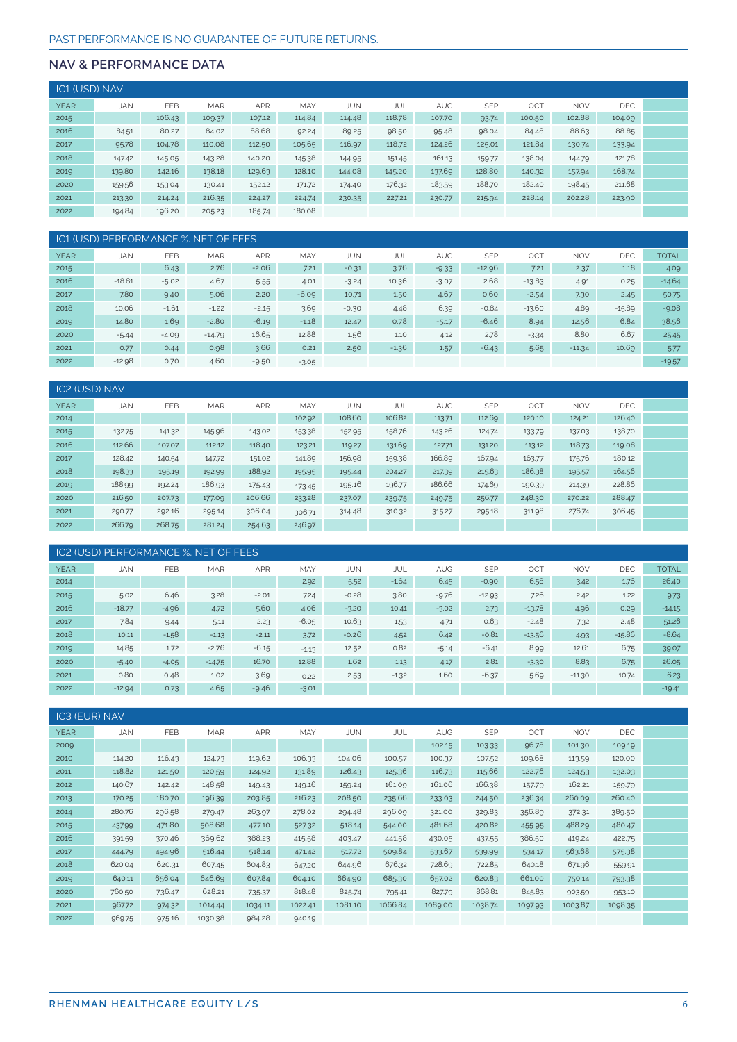| <b>IC1 (USD) NAV</b> |            |        |            |            |        |        |        |        |            |        |            |            |  |
|----------------------|------------|--------|------------|------------|--------|--------|--------|--------|------------|--------|------------|------------|--|
| <b>YEAR</b>          | <b>JAN</b> | FEB    | <b>MAR</b> | <b>APR</b> | MAY    | JUN    | JUL    | AUG    | <b>SEP</b> | OCT    | <b>NOV</b> | <b>DEC</b> |  |
| 2015                 |            | 106.43 | 109.37     | 107.12     | 114.84 | 114.48 | 118.78 | 107.70 | 93.74      | 100.50 | 102.88     | 104.09     |  |
| 2016                 | 84.51      | 80.27  | 84.02      | 88.68      | 92.24  | 89.25  | 98.50  | 95.48  | 98.04      | 84.48  | 88.63      | 88.85      |  |
| 2017                 | 95.78      | 104.78 | 110.08     | 112.50     | 105.65 | 116.97 | 118.72 | 124.26 | 125.01     | 121.84 | 130.74     | 133.94     |  |
| 2018                 | 147.42     | 145.05 | 143.28     | 140.20     | 145.38 | 144.95 | 151.45 | 161.13 | 159.77     | 138.04 | 144.79     | 121.78     |  |
| 2019                 | 139.80     | 142.16 | 138.18     | 129.63     | 128.10 | 144.08 | 145.20 | 137.69 | 128.80     | 140.32 | 157.94     | 168.74     |  |
| 2020                 | 159.56     | 153.04 | 130.41     | 152.12     | 171.72 | 174.40 | 176.32 | 183.59 | 188.70     | 182.40 | 198.45     | 211.68     |  |
| 2021                 | 213.30     | 214.24 | 216.35     | 224.27     | 224.74 | 230.35 | 227.21 | 230.77 | 215.94     | 228.14 | 202.28     | 223.90     |  |
| 2022                 | 194.84     | 196.20 | 205.23     | 185.74     | 180.08 |        |        |        |            |        |            |            |  |

| IC1 (USD) PERFORMANCE %. NET OF FEES |          |            |            |            |         |         |         |            |            |          |            |            |              |
|--------------------------------------|----------|------------|------------|------------|---------|---------|---------|------------|------------|----------|------------|------------|--------------|
| <b>YEAR</b>                          | JAN      | <b>FEB</b> | <b>MAR</b> | <b>APR</b> | MAY     | JUN     | JUL     | <b>AUG</b> | <b>SEP</b> | OCT      | <b>NOV</b> | <b>DEC</b> | <b>TOTAL</b> |
| 2015                                 |          | 6.43       | 2.76       | $-2.06$    | 7.21    | $-0.31$ | 3.76    | $-9.33$    | $-12.96$   | 7.21     | 2.37       | 1.18       | 4.09         |
| 2016                                 | $-18.81$ | $-5.02$    | 4.67       | 5.55       | 4.01    | $-3.24$ | 10.36   | $-3.07$    | 2.68       | $-13.83$ | 4.91       | 0.25       | $-14.64$     |
| 2017                                 | 7.80     | 9.40       | 5.06       | 2.20       | $-6.09$ | 10.71   | 1.50    | 4.67       | 0.60       | $-2.54$  | 7.30       | 2.45       | 50.75        |
| 2018                                 | 10.06    | $-1.61$    | $-1.22$    | $-2.15$    | 3.69    | $-0.30$ | 4.48    | 6.39       | $-0.84$    | $-13.60$ | 4.89       | $-15.89$   | $-9.08$      |
| 2019                                 | 14.80    | 1.69       | $-2.80$    | $-6.19$    | $-1.18$ | 12.47   | 0.78    | $-5.17$    | $-6.46$    | 8.94     | 12.56      | 6.84       | 38.56        |
| 2020                                 | $-5.44$  | $-4.09$    | $-14.79$   | 16.65      | 12.88   | 1.56    | 1.10    | 4.12       | 2.78       | $-3.34$  | 8.80       | 6.67       | 25.45        |
| 2021                                 | 0.77     | 0.44       | 0.98       | 3.66       | 0.21    | 2.50    | $-1.36$ | 1.57       | $-6.43$    | 5.65     | $-11.34$   | 10.69      | 5.77         |
| 2022                                 | $-12.98$ | 0.70       | 4.60       | $-9.50$    | $-3.05$ |         |         |            |            |          |            |            | $-19.57$     |

| <b>IC2 (USD) NAV</b> |            |        |            |            |        |        |        |        |            |        |            |            |  |
|----------------------|------------|--------|------------|------------|--------|--------|--------|--------|------------|--------|------------|------------|--|
| <b>YEAR</b>          | <b>JAN</b> | FEB    | <b>MAR</b> | <b>APR</b> | MAY    | JUN    | JUL    | AUG    | <b>SEP</b> | OCT    | <b>NOV</b> | <b>DEC</b> |  |
| 2014                 |            |        |            |            | 102.92 | 108.60 | 106.82 | 113.71 | 112.69     | 120.10 | 124.21     | 126.40     |  |
| 2015                 | 132.75     | 141.32 | 145.96     | 143.02     | 153.38 | 152.95 | 158.76 | 143.26 | 124.74     | 133.79 | 137.03     | 138.70     |  |
| 2016                 | 112.66     | 107.07 | 112.12     | 118.40     | 123.21 | 119.27 | 131.69 | 127.71 | 131.20     | 113.12 | 118.73     | 119.08     |  |
| 2017                 | 128.42     | 140.54 | 147.72     | 151.02     | 141.89 | 156.98 | 159.38 | 166.89 | 167.94     | 163.77 | 175.76     | 180.12     |  |
| 2018                 | 198.33     | 195.19 | 192.99     | 188.92     | 195.95 | 195.44 | 204.27 | 217.39 | 215.63     | 186.38 | 195.57     | 164.56     |  |
| 2019                 | 188.99     | 192.24 | 186.93     | 175.43     | 173.45 | 195.16 | 196.77 | 186.66 | 174.69     | 190.39 | 214.39     | 228.86     |  |
| 2020                 | 216.50     | 207.73 | 177.09     | 206.66     | 233.28 | 237.07 | 239.75 | 249.75 | 256.77     | 248.30 | 270.22     | 288.47     |  |
| 2021                 | 290.77     | 292.16 | 295.14     | 306.04     | 306.71 | 314.48 | 310.32 | 315.27 | 295.18     | 311.98 | 276.74     | 306.45     |  |
| 2022                 | 266.79     | 268.75 | 281.24     | 254.63     | 246.97 |        |        |        |            |        |            |            |  |

| IC2 (USD) PERFORMANCE %. NET OF FEES |            |            |            |            |         |         |         |            |            |          |            |          |              |
|--------------------------------------|------------|------------|------------|------------|---------|---------|---------|------------|------------|----------|------------|----------|--------------|
| <b>YEAR</b>                          | <b>JAN</b> | <b>FEB</b> | <b>MAR</b> | <b>APR</b> | MAY     | JUN     | JUL     | <b>AUG</b> | <b>SEP</b> | OCT      | <b>NOV</b> | DEC      | <b>TOTAL</b> |
| 2014                                 |            |            |            |            | 2.92    | 5.52    | $-1.64$ | 6.45       | $-0.90$    | 6.58     | 3.42       | 1.76     | 26.40        |
| 2015                                 | 5.02       | 6.46       | 3.28       | $-2.01$    | 7.24    | $-0.28$ | 3.80    | $-9.76$    | $-12.93$   | 7.26     | 2.42       | 1.22     | 9.73         |
| 2016                                 | $-18.77$   | $-4.96$    | 4.72       | 5.60       | 4.06    | $-3.20$ | 10.41   | $-3.02$    | 2.73       | $-13.78$ | 4.96       | 0.29     | $-14.15$     |
| 2017                                 | 7.84       | 9.44       | 5.11       | 2.23       | $-6.05$ | 10.63   | 1.53    | 4.71       | 0.63       | $-2.48$  | 7.32       | 2.48     | 51.26        |
| 2018                                 | 10.11      | $-1.58$    | $-1.13$    | $-2.11$    | 3.72    | $-0.26$ | 4.52    | 6.42       | $-0.81$    | $-13.56$ | 4.93       | $-15.86$ | $-8.64$      |
| 2019                                 | 14.85      | 1.72       | $-2.76$    | $-6.15$    | $-1.13$ | 12.52   | 0.82    | $-5.14$    | $-6.41$    | 8.99     | 12.61      | 6.75     | 39.07        |
| 2020                                 | $-5.40$    | $-4.05$    | $-14.75$   | 16.70      | 12.88   | 1.62    | 1.13    | 4.17       | 2.81       | $-3.30$  | 8.83       | 6.75     | 26.05        |
| 2021                                 | 0.80       | 0.48       | 1.02       | 3.69       | 0.22    | 2.53    | $-1.32$ | 1.60       | $-6.37$    | 5.69     | $-11.30$   | 10.74    | 6.23         |
| 2022                                 | $-12.94$   | 0.73       | 4.65       | $-9.46$    | $-3.01$ |         |         |            |            |          |            |          | $-19.41$     |

| <b>IC3 (EUR) NAV</b> |            |        |            |            |         |            |         |         |            |         |            |            |  |
|----------------------|------------|--------|------------|------------|---------|------------|---------|---------|------------|---------|------------|------------|--|
| <b>YEAR</b>          | <b>JAN</b> | FEB    | <b>MAR</b> | <b>APR</b> | MAY     | <b>JUN</b> | JUL     | AUG.    | <b>SEP</b> | OCT     | <b>NOV</b> | <b>DEC</b> |  |
| 2009                 |            |        |            |            |         |            |         | 102.15  | 103.33     | 96.78   | 101.30     | 109.19     |  |
| 2010                 | 114.20     | 116.43 | 124.73     | 119.62     | 106.33  | 104.06     | 100.57  | 100.37  | 107.52     | 109.68  | 113.59     | 120.00     |  |
| 2011                 | 118.82     | 121.50 | 120.59     | 124.92     | 131.89  | 126.43     | 125.36  | 116.73  | 115.66     | 122.76  | 124.53     | 132.03     |  |
| 2012                 | 140.67     | 142.42 | 148.58     | 149.43     | 149.16  | 159.24     | 161.09  | 161.06  | 166.38     | 157.79  | 162.21     | 159.79     |  |
| 2013                 | 170.25     | 180.70 | 196.39     | 203.85     | 216.23  | 208.50     | 235.66  | 233.03  | 244.50     | 236.34  | 260.09     | 260.40     |  |
| 2014                 | 280.76     | 296.58 | 279.47     | 263.97     | 278.02  | 294.48     | 296.09  | 321.00  | 329.83     | 356.89  | 372.31     | 389.50     |  |
| 2015                 | 437.99     | 471.80 | 508.68     | 477.10     | 527.32  | 518.14     | 544.00  | 481.68  | 420.82     | 455.95  | 488.29     | 480.47     |  |
| 2016                 | 391.59     | 370.46 | 369.62     | 388.23     | 415.58  | 403.47     | 441.58  | 430.05  | 437.55     | 386.50  | 419.24     | 422.75     |  |
| 2017                 | 444.79     | 494.96 | 516.44     | 518.14     | 471.42  | 517.72     | 509.84  | 533.67  | 539.99     | 534.17  | 563.68     | 575.38     |  |
| 2018                 | 620.04     | 620.31 | 607.45     | 604.83     | 647.20  | 644.96     | 676.32  | 728.69  | 722.85     | 640.18  | 671.96     | 559.91     |  |
| 2019                 | 640.11     | 656.04 | 646.69     | 607.84     | 604.10  | 664.90     | 685.30  | 657.02  | 620.83     | 661.00  | 750.14     | 793.38     |  |
| 2020                 | 760.50     | 736.47 | 628.21     | 735.37     | 818.48  | 825.74     | 795.41  | 827.79  | 868.81     | 845.83  | 903.59     | 953.10     |  |
| 2021                 | 967.72     | 974.32 | 1014.44    | 1034.11    | 1022.41 | 1081.10    | 1066.84 | 1089.00 | 1038.74    | 1097.93 | 1003.87    | 1098.35    |  |
| 2022                 | 969.75     | 975.16 | 1030.38    | 984.28     | 940.19  |            |         |         |            |         |            |            |  |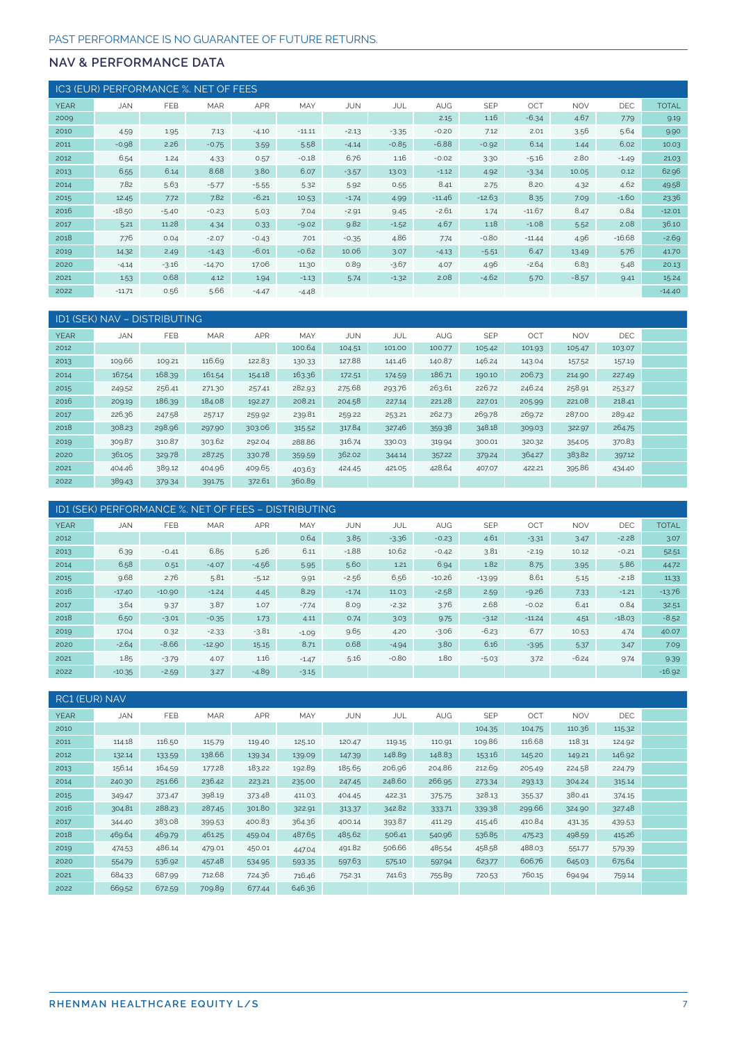|             | IC3 (EUR) PERFORMANCE %. NET OF FEES |         |            |            |          |         |         |            |            |          |            |          |              |
|-------------|--------------------------------------|---------|------------|------------|----------|---------|---------|------------|------------|----------|------------|----------|--------------|
| <b>YEAR</b> | <b>JAN</b>                           | FEB     | <b>MAR</b> | <b>APR</b> | MAY      | JUN     | JUL     | <b>AUG</b> | <b>SEP</b> | OCT      | <b>NOV</b> | DEC      | <b>TOTAL</b> |
| 2009        |                                      |         |            |            |          |         |         | 2.15       | 1.16       | $-6.34$  | 4.67       | 7.79     | 9.19         |
| 2010        | 4.59                                 | 1.95    | 7.13       | $-4.10$    | $-11.11$ | $-2.13$ | $-3.35$ | $-0.20$    | 7.12       | 2.01     | 3.56       | 5.64     | 9.90         |
| 2011        | $-0.98$                              | 2.26    | $-0.75$    | 3.59       | 5.58     | $-4.14$ | $-0.85$ | $-6.88$    | $-0.92$    | 6.14     | 1.44       | 6.02     | 10.03        |
| 2012        | 6.54                                 | 1.24    | 4.33       | 0.57       | $-0.18$  | 6.76    | 1.16    | $-0.02$    | 3.30       | $-5.16$  | 2.80       | $-1.49$  | 21.03        |
| 2013        | 6.55                                 | 6.14    | 8.68       | 3.80       | 6.07     | $-3.57$ | 13.03   | $-1.12$    | 4.92       | $-3.34$  | 10.05      | 0.12     | 62.96        |
| 2014        | 7.82                                 | 5.63    | $-5.77$    | $-5.55$    | 5.32     | 5.92    | 0.55    | 8.41       | 2.75       | 8.20     | 4.32       | 4.62     | 49.58        |
| 2015        | 12.45                                | 7.72    | 7.82       | $-6.21$    | 10.53    | $-1.74$ | 4.99    | $-11.46$   | $-12.63$   | 8.35     | 7.09       | $-1.60$  | 23.36        |
| 2016        | $-18.50$                             | $-5.40$ | $-0.23$    | 5.03       | 7.04     | $-2.91$ | 9.45    | $-2.61$    | 1.74       | $-11.67$ | 8.47       | 0.84     | $-12.01$     |
| 2017        | 5.21                                 | 11.28   | 4.34       | 0.33       | $-9.02$  | 9.82    | $-1.52$ | 4.67       | 1.18       | $-1.08$  | 5.52       | 2.08     | 36.10        |
| 2018        | 7.76                                 | 0.04    | $-2.07$    | $-0.43$    | 7.01     | $-0.35$ | 4.86    | 7.74       | $-0.80$    | $-11.44$ | 4.96       | $-16.68$ | $-2.69$      |
| 2019        | 14.32                                | 2.49    | $-1.43$    | $-6.01$    | $-0.62$  | 10.06   | 3.07    | $-4.13$    | $-5.51$    | 6.47     | 13.49      | 5.76     | 41.70        |
| 2020        | $-4.14$                              | $-3.16$ | $-14.70$   | 17.06      | 11.30    | 0.89    | $-3.67$ | 4.07       | 4.96       | $-2.64$  | 6.83       | 5.48     | 20.13        |
| 2021        | 1.53                                 | 0.68    | 4.12       | 1.94       | $-1.13$  | 5.74    | $-1.32$ | 2.08       | $-4.62$    | 5.70     | $-8.57$    | 9.41     | 15.24        |
| 2022        | $-11.71$                             | 0.56    | 5.66       | $-4.47$    | $-4.48$  |         |         |            |            |          |            |          | $-14.40$     |

|             | ID1 (SEK) NAV – DISTRIBUTING |            |            |            |        |            |        |            |            |        |            |            |  |
|-------------|------------------------------|------------|------------|------------|--------|------------|--------|------------|------------|--------|------------|------------|--|
| <b>YEAR</b> | <b>JAN</b>                   | <b>FEB</b> | <b>MAR</b> | <b>APR</b> | MAY    | <b>JUN</b> | JUL    | <b>AUG</b> | <b>SEP</b> | OCT    | <b>NOV</b> | <b>DEC</b> |  |
| 2012        |                              |            |            |            | 100.64 | 104.51     | 101.00 | 100.77     | 105.42     | 101.93 | 105.47     | 103.07     |  |
| 2013        | 109.66                       | 109.21     | 116.69     | 122.83     | 130.33 | 127.88     | 141.46 | 140.87     | 146.24     | 143.04 | 157.52     | 157.19     |  |
| 2014        | 167.54                       | 168.39     | 161.54     | 154.18     | 163.36 | 172.51     | 174.59 | 186.71     | 190.10     | 206.73 | 214.90     | 227.49     |  |
| 2015        | 249.52                       | 256.41     | 271.30     | 257.41     | 282.93 | 275.68     | 293.76 | 263.61     | 226.72     | 246.24 | 258.91     | 253.27     |  |
| 2016        | 209.19                       | 186.39     | 184.08     | 192.27     | 208.21 | 204.58     | 227.14 | 221.28     | 227.01     | 205.99 | 221.08     | 218.41     |  |
| 2017        | 226.36                       | 247.58     | 257.17     | 259.92     | 239.81 | 259.22     | 253.21 | 262.73     | 269.78     | 269.72 | 287.00     | 289.42     |  |
| 2018        | 308.23                       | 298.96     | 297.90     | 303.06     | 315.52 | 317.84     | 327.46 | 359.38     | 348.18     | 309.03 | 322.97     | 264.75     |  |
| 2019        | 309.87                       | 310.87     | 303.62     | 292.04     | 288.86 | 316.74     | 330.03 | 319.94     | 300.01     | 320.32 | 354.05     | 370.83     |  |
| 2020        | 361.05                       | 329.78     | 287.25     | 330.78     | 359.59 | 362.02     | 344.14 | 357.22     | 379.24     | 364.27 | 383.82     | 397.12     |  |
| 2021        | 404.46                       | 389.12     | 404.96     | 409.65     | 403.63 | 424.45     | 421.05 | 428.64     | 407.07     | 422.21 | 395.86     | 434.40     |  |
| 2022        | 389.43                       | 379.34     | 391.75     | 372.61     | 360.89 |            |        |            |            |        |            |            |  |

| ID1 (SEK) PERFORMANCE %, NET OF FEES - DISTRIBUTING |            |            |            |            |         |         |         |            |            |          |            |            |              |
|-----------------------------------------------------|------------|------------|------------|------------|---------|---------|---------|------------|------------|----------|------------|------------|--------------|
| <b>YEAR</b>                                         | <b>JAN</b> | <b>FEB</b> | <b>MAR</b> | <b>APR</b> | MAY     | JUN     | JUL     | <b>AUG</b> | <b>SEP</b> | OCT      | <b>NOV</b> | <b>DEC</b> | <b>TOTAL</b> |
| 2012                                                |            |            |            |            | 0.64    | 3.85    | $-3.36$ | $-0.23$    | 4.61       | $-3.31$  | 3.47       | $-2.28$    | 3.07         |
| 2013                                                | 6.39       | $-0.41$    | 6.85       | 5.26       | 6.11    | $-1.88$ | 10.62   | $-0.42$    | 3.81       | $-2.19$  | 10.12      | $-0.21$    | 52.51        |
| 2014                                                | 6.58       | 0.51       | $-4.07$    | $-4.56$    | 5.95    | 5.60    | 1.21    | 6.94       | 1.82       | 8.75     | 3.95       | 5.86       | 44.72        |
| 2015                                                | 9.68       | 2.76       | 5.81       | $-5.12$    | 9.91    | $-2.56$ | 6.56    | $-10.26$   | $-13.99$   | 8.61     | 5.15       | $-2.18$    | 11.33        |
| 2016                                                | $-17.40$   | $-10.90$   | $-1.24$    | 4.45       | 8.29    | $-1.74$ | 11.03   | $-2.58$    | 2.59       | $-9.26$  | 7.33       | $-1.21$    | $-13.76$     |
| 2017                                                | 3.64       | 9.37       | 3.87       | 1.07       | $-7.74$ | 8.09    | $-2.32$ | 3.76       | 2.68       | $-0.02$  | 6.41       | 0.84       | 32.51        |
| 2018                                                | 6.50       | $-3.01$    | $-0.35$    | 1.73       | 4.11    | 0.74    | 3.03    | 9.75       | $-3.12$    | $-11.24$ | 4.51       | $-18.03$   | $-8.52$      |
| 2019                                                | 17.04      | 0.32       | $-2.33$    | $-3.81$    | $-1.09$ | 9.65    | 4.20    | $-3.06$    | $-6.23$    | 6.77     | 10.53      | 4.74       | 40.07        |
| 2020                                                | $-2.64$    | $-8.66$    | $-12.90$   | 15.15      | 8.71    | 0.68    | $-4.94$ | 3.80       | 6.16       | $-3.95$  | 5.37       | 3.47       | 7.09         |
| 2021                                                | 1.85       | $-3.79$    | 4.07       | 1.16       | $-1.47$ | 5.16    | $-0.80$ | 1.80       | $-5.03$    | 3.72     | $-6.24$    | 9.74       | 9.39         |
| 2022                                                | $-10.35$   | $-2.59$    | 3.27       | $-4.89$    | $-3.15$ |         |         |            |            |          |            |            | $-16.92$     |

| <b>RC1 (EUR) NAV</b> |            |        |            |            |        |            |        |        |        |        |            |            |  |
|----------------------|------------|--------|------------|------------|--------|------------|--------|--------|--------|--------|------------|------------|--|
| <b>YEAR</b>          | <b>JAN</b> | FEB    | <b>MAR</b> | <b>APR</b> | MAY    | <b>JUN</b> | JUL    | AUG.   | SEP    | OCT    | <b>NOV</b> | <b>DEC</b> |  |
| 2010                 |            |        |            |            |        |            |        |        | 104.35 | 104.75 | 110.36     | 115.32     |  |
| 2011                 | 114.18     | 116.50 | 115.79     | 119.40     | 125.10 | 120.47     | 119.15 | 110.91 | 109.86 | 116.68 | 118.31     | 124.92     |  |
| 2012                 | 132.14     | 133.59 | 138.66     | 139.34     | 139.09 | 147.39     | 148.89 | 148.83 | 153.16 | 145.20 | 149.21     | 146.92     |  |
| 2013                 | 156.14     | 164.59 | 177.28     | 183.22     | 192.89 | 185.65     | 206.96 | 204.86 | 212.69 | 205.49 | 224.58     | 224.79     |  |
| 2014                 | 240.30     | 251.66 | 236.42     | 223.21     | 235.00 | 247.45     | 248.60 | 266.95 | 273.34 | 293.13 | 304.24     | 315.14     |  |
| 2015                 | 349.47     | 373.47 | 398.19     | 373.48     | 411.03 | 404.45     | 422.31 | 375.75 | 328.13 | 355.37 | 380.41     | 374.15     |  |
| 2016                 | 304.81     | 288.23 | 287.45     | 301.80     | 322.91 | 313.37     | 342.82 | 333.71 | 339.38 | 299.66 | 324.90     | 327.48     |  |
| 2017                 | 344.40     | 383.08 | 399.53     | 400.83     | 364.36 | 400.14     | 393.87 | 411.29 | 415.46 | 410.84 | 431.35     | 439.53     |  |
| 2018                 | 469.64     | 469.79 | 461.25     | 459.04     | 487.65 | 485.62     | 506.41 | 540.96 | 536.85 | 475.23 | 498.59     | 415.26     |  |
| 2019                 | 474.53     | 486.14 | 479.01     | 450.01     | 447.04 | 491.82     | 506.66 | 485.54 | 458.58 | 488.03 | 551.77     | 579.39     |  |
| 2020                 | 554.79     | 536.92 | 457.48     | 534.95     | 593.35 | 597.63     | 575.10 | 597.94 | 623.77 | 606.76 | 645.03     | 675.64     |  |
| 2021                 | 684.33     | 687.99 | 712.68     | 724.36     | 716.46 | 752.31     | 741.63 | 755.89 | 720.53 | 760.15 | 694.94     | 759.14     |  |
| 2022                 | 669.52     | 672.59 | 709.89     | 677.44     | 646.36 |            |        |        |        |        |            |            |  |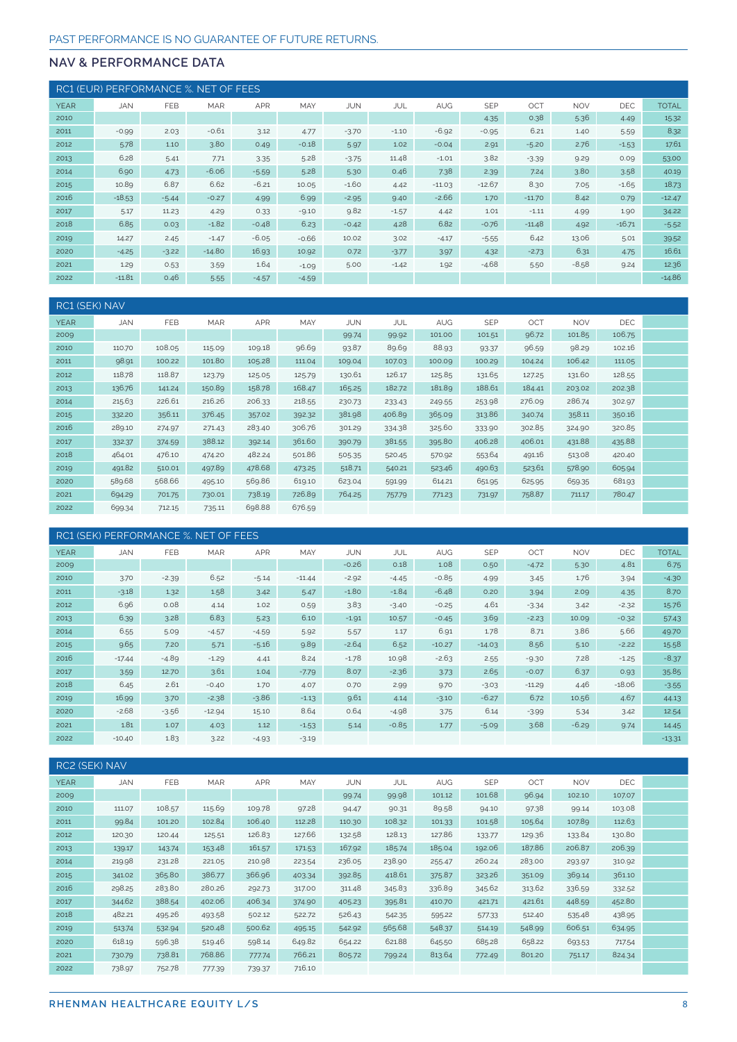|             | RC1 (EUR) PERFORMANCE %. NET OF FEES |         |            |            |         |            |         |            |            |          |            |            |              |
|-------------|--------------------------------------|---------|------------|------------|---------|------------|---------|------------|------------|----------|------------|------------|--------------|
| <b>YEAR</b> | <b>JAN</b>                           | FEB     | <b>MAR</b> | <b>APR</b> | MAY     | <b>JUN</b> | JUL     | <b>AUG</b> | <b>SEP</b> | OCT      | <b>NOV</b> | <b>DEC</b> | <b>TOTAL</b> |
| 2010        |                                      |         |            |            |         |            |         |            | 4.35       | 0.38     | 5.36       | 4.49       | 15.32        |
| 2011        | $-0.99$                              | 2.03    | $-0.61$    | 3.12       | 4.77    | $-3.70$    | $-1.10$ | $-6.92$    | $-0.95$    | 6.21     | 1.40       | 5.59       | 8.32         |
| 2012        | 5.78                                 | 1.10    | 3.80       | 0.49       | $-0.18$ | 5.97       | 1.02    | $-0.04$    | 2.91       | $-5.20$  | 2.76       | $-1.53$    | 17.61        |
| 2013        | 6.28                                 | 5.41    | 7.71       | 3.35       | 5.28    | $-3.75$    | 11.48   | $-1.01$    | 3.82       | $-3.39$  | 9.29       | 0.09       | 53.00        |
| 2014        | 6.90                                 | 4.73    | $-6.06$    | $-5.59$    | 5.28    | 5.30       | 0.46    | 7.38       | 2.39       | 7.24     | 3.80       | 3.58       | 40.19        |
| 2015        | 10.89                                | 6.87    | 6.62       | $-6.21$    | 10.05   | $-1.60$    | 4.42    | $-11.03$   | $-12.67$   | 8.30     | 7.05       | $-1.65$    | 18.73        |
| 2016        | $-18.53$                             | $-5.44$ | $-0.27$    | 4.99       | 6.99    | $-2.95$    | 9.40    | $-2.66$    | 1.70       | $-11.70$ | 8.42       | 0.79       | $-12.47$     |
| 2017        | 5.17                                 | 11.23   | 4.29       | 0.33       | $-9.10$ | 9.82       | $-1.57$ | 4.42       | 1.01       | $-1.11$  | 4.99       | 1.90       | 34.22        |
| 2018        | 6.85                                 | 0.03    | $-1.82$    | $-0.48$    | 6.23    | $-0.42$    | 4.28    | 6.82       | $-0.76$    | $-11.48$ | 4.92       | $-16.71$   | $-5.52$      |
| 2019        | 14.27                                | 2.45    | $-1.47$    | $-6.05$    | $-0.66$ | 10.02      | 3.02    | $-4.17$    | $-5.55$    | 6.42     | 13.06      | 5.01       | 39.52        |
| 2020        | $-4.25$                              | $-3.22$ | $-14.80$   | 16.93      | 10.92   | 0.72       | $-3.77$ | 3.97       | 4.32       | $-2.73$  | 6.31       | 4.75       | 16.61        |
| 2021        | 1.29                                 | 0.53    | 3.59       | 1.64       | $-1.09$ | 5.00       | $-1.42$ | 1.92       | $-4.68$    | 5.50     | $-8.58$    | 9.24       | 12.36        |
| 2022        | $-11.81$                             | 0.46    | 5.55       | $-4.57$    | $-4.59$ |            |         |            |            |          |            |            | $-14.86$     |

| <b>RC1 (SEK) NAV</b> |            |        |            |            |        |            |        |        |            |        |            |        |  |
|----------------------|------------|--------|------------|------------|--------|------------|--------|--------|------------|--------|------------|--------|--|
| <b>YEAR</b>          | <b>JAN</b> | FEB    | <b>MAR</b> | <b>APR</b> | MAY    | <b>JUN</b> | JUL    | AUG    | <b>SEP</b> | OCT    | <b>NOV</b> | DEC    |  |
| 2009                 |            |        |            |            |        | 99.74      | 99.92  | 101.00 | 101.51     | 96.72  | 101.85     | 106.75 |  |
| 2010                 | 110.70     | 108.05 | 115.09     | 109.18     | 96.69  | 93.87      | 89.69  | 88.93  | 93.37      | 96.59  | 98.29      | 102.16 |  |
| 2011                 | 98.91      | 100.22 | 101.80     | 105.28     | 111.04 | 109.04     | 107.03 | 100.09 | 100.29     | 104.24 | 106.42     | 111.05 |  |
| 2012                 | 118.78     | 118.87 | 123.79     | 125.05     | 125.79 | 130.61     | 126.17 | 125.85 | 131.65     | 127.25 | 131.60     | 128.55 |  |
| 2013                 | 136.76     | 141.24 | 150.89     | 158.78     | 168.47 | 165.25     | 182.72 | 181.89 | 188.61     | 184.41 | 203.02     | 202.38 |  |
| 2014                 | 215.63     | 226.61 | 216.26     | 206.33     | 218.55 | 230.73     | 233.43 | 249.55 | 253.98     | 276.09 | 286.74     | 302.97 |  |
| 2015                 | 332.20     | 356.11 | 376.45     | 357.02     | 392.32 | 381.98     | 406.89 | 365.09 | 313.86     | 340.74 | 358.11     | 350.16 |  |
| 2016                 | 289.10     | 274.97 | 271.43     | 283.40     | 306.76 | 301.29     | 334.38 | 325.60 | 333.90     | 302.85 | 324.90     | 320.85 |  |
| 2017                 | 332.37     | 374.59 | 388.12     | 392.14     | 361.60 | 390.79     | 381.55 | 395.80 | 406.28     | 406.01 | 431.88     | 435.88 |  |
| 2018                 | 464.01     | 476.10 | 474.20     | 482.24     | 501.86 | 505.35     | 520.45 | 570.92 | 553.64     | 491.16 | 513.08     | 420.40 |  |
| 2019                 | 491.82     | 510.01 | 497.89     | 478.68     | 473.25 | 518.71     | 540.21 | 523.46 | 490.63     | 523.61 | 578.90     | 605.94 |  |
| 2020                 | 589.68     | 568.66 | 495.10     | 569.86     | 619.10 | 623.04     | 591.99 | 614.21 | 651.95     | 625.95 | 659.35     | 681.93 |  |
| 2021                 | 694.29     | 701.75 | 730.01     | 738.19     | 726.89 | 764.25     | 757.79 | 771.23 | 731.97     | 758.87 | 711.17     | 780.47 |  |
| 2022                 | 699.34     | 712.15 | 735.11     | 698.88     | 676.59 |            |        |        |            |        |            |        |  |

| RC1 (SEK) PERFORMANCE %. NET OF FEES |            |            |            |            |          |            |         |            |            |          |            |            |              |
|--------------------------------------|------------|------------|------------|------------|----------|------------|---------|------------|------------|----------|------------|------------|--------------|
| <b>YEAR</b>                          | <b>JAN</b> | <b>FEB</b> | <b>MAR</b> | <b>APR</b> | MAY      | <b>JUN</b> | JUL     | <b>AUG</b> | <b>SEP</b> | OCT      | <b>NOV</b> | <b>DEC</b> | <b>TOTAL</b> |
| 2009                                 |            |            |            |            |          | $-0.26$    | 0.18    | 1.08       | 0.50       | $-4.72$  | 5.30       | 4.81       | 6.75         |
| 2010                                 | 3.70       | $-2.39$    | 6.52       | $-5.14$    | $-11.44$ | $-2.92$    | $-4.45$ | $-0.85$    | 4.99       | 3.45     | 1.76       | 3.94       | $-4.30$      |
| 2011                                 | $-3.18$    | 1.32       | 1.58       | 3.42       | 5.47     | $-1.80$    | $-1.84$ | $-6.48$    | 0.20       | 3.94     | 2.09       | 4.35       | 8.70         |
| 2012                                 | 6.96       | 0.08       | 4.14       | 1.02       | 0.59     | 3.83       | $-3.40$ | $-0.25$    | 4.61       | $-3.34$  | 3.42       | $-2.32$    | 15.76        |
| 2013                                 | 6.39       | 3.28       | 6.83       | 5.23       | 6.10     | $-1.91$    | 10.57   | $-0.45$    | 3.69       | $-2.23$  | 10.09      | $-0.32$    | 57.43        |
| 2014                                 | 6.55       | 5.09       | $-4.57$    | $-4.59$    | 5.92     | 5.57       | 1.17    | 6.91       | 1.78       | 8.71     | 3.86       | 5.66       | 49.70        |
| 2015                                 | 9.65       | 7.20       | 5.71       | $-5.16$    | 9.89     | $-2.64$    | 6.52    | $-10.27$   | $-14.03$   | 8.56     | 5.10       | $-2.22$    | 15.58        |
| 2016                                 | $-17.44$   | $-4.89$    | $-1.29$    | 4.41       | 8.24     | $-1.78$    | 10.98   | $-2.63$    | 2.55       | $-9.30$  | 7.28       | $-1.25$    | $-8.37$      |
| 2017                                 | 3.59       | 12.70      | 3.61       | 1.04       | $-7.79$  | 8.07       | $-2.36$ | 3.73       | 2.65       | $-0.07$  | 6.37       | 0.93       | 35.85        |
| 2018                                 | 6.45       | 2.61       | $-0.40$    | 1.70       | 4.07     | 0.70       | 2.99    | 9.70       | $-3.03$    | $-11.29$ | 4.46       | $-18.06$   | $-3.55$      |
| 2019                                 | 16.99      | 3.70       | $-2.38$    | $-3.86$    | $-1.13$  | 9.61       | 4.14    | $-3.10$    | $-6.27$    | 6.72     | 10.56      | 4.67       | 44.13        |
| 2020                                 | $-2.68$    | $-3.56$    | $-12.94$   | 15.10      | 8.64     | 0.64       | $-4.98$ | 3.75       | 6.14       | $-3.99$  | 5.34       | 3.42       | 12.54        |
| 2021                                 | 1.81       | 1.07       | 4.03       | 1.12       | $-1.53$  | 5.14       | $-0.85$ | 1.77       | $-5.09$    | 3.68     | $-6.29$    | 9.74       | 14.45        |
| 2022                                 | $-10.40$   | 1.83       | 3.22       | $-4.93$    | $-3.19$  |            |         |            |            |          |            |            | $-13.31$     |

| RC2 (SEK) NAV |            |        |        |            |        |        |        |        |            |        |            |        |  |
|---------------|------------|--------|--------|------------|--------|--------|--------|--------|------------|--------|------------|--------|--|
| <b>YEAR</b>   | <b>JAN</b> | FEB    | MAR    | <b>APR</b> | MAY    | JUN    | JUL    | AUG    | <b>SEP</b> | OCT    | <b>NOV</b> | DEC    |  |
| 2009          |            |        |        |            |        | 99.74  | 99.98  | 101.12 | 101.68     | 96.94  | 102.10     | 107.07 |  |
| 2010          | 111.07     | 108.57 | 115.69 | 109.78     | 97.28  | 94.47  | 90.31  | 89.58  | 94.10      | 97.38  | 99.14      | 103.08 |  |
| 2011          | 99.84      | 101.20 | 102.84 | 106.40     | 112.28 | 110.30 | 108.32 | 101.33 | 101.58     | 105.64 | 107.89     | 112.63 |  |
| 2012          | 120.30     | 120.44 | 125.51 | 126.83     | 127.66 | 132.58 | 128.13 | 127.86 | 133.77     | 129.36 | 133.84     | 130.80 |  |
| 2013          | 139.17     | 143.74 | 153.48 | 161.57     | 171.53 | 167.92 | 185.74 | 185.04 | 192.06     | 187.86 | 206.87     | 206.39 |  |
| 2014          | 219.98     | 231.28 | 221.05 | 210.98     | 223.54 | 236.05 | 238.90 | 255.47 | 260.24     | 283.00 | 293.97     | 310.92 |  |
| 2015          | 341.02     | 365.80 | 386.77 | 366.96     | 403.34 | 392.85 | 418.61 | 375.87 | 323.26     | 351.09 | 369.14     | 361.10 |  |
| 2016          | 298.25     | 283.80 | 280.26 | 292.73     | 317.00 | 311.48 | 345.83 | 336.89 | 345.62     | 313.62 | 336.59     | 332.52 |  |
| 2017          | 344.62     | 388.54 | 402.06 | 406.34     | 374.90 | 405.23 | 395.81 | 410.70 | 421.71     | 421.61 | 448.59     | 452.80 |  |
| 2018          | 482.21     | 495.26 | 493.58 | 502.12     | 522.72 | 526.43 | 542.35 | 595.22 | 577.33     | 512.40 | 535.48     | 438.95 |  |
| 2019          | 513.74     | 532.94 | 520.48 | 500.62     | 495.15 | 542.92 | 565.68 | 548.37 | 514.19     | 548.99 | 606.51     | 634.95 |  |
| 2020          | 618.19     | 596.38 | 519.46 | 598.14     | 649.82 | 654.22 | 621.88 | 645.50 | 685.28     | 658.22 | 693.53     | 717.54 |  |
| 2021          | 730.79     | 738.81 | 768.86 | 777.74     | 766.21 | 805.72 | 799.24 | 813.64 | 772.49     | 801.20 | 751.17     | 824.34 |  |
| 2022          | 738.97     | 752.78 | 777.39 | 739.37     | 716.10 |        |        |        |            |        |            |        |  |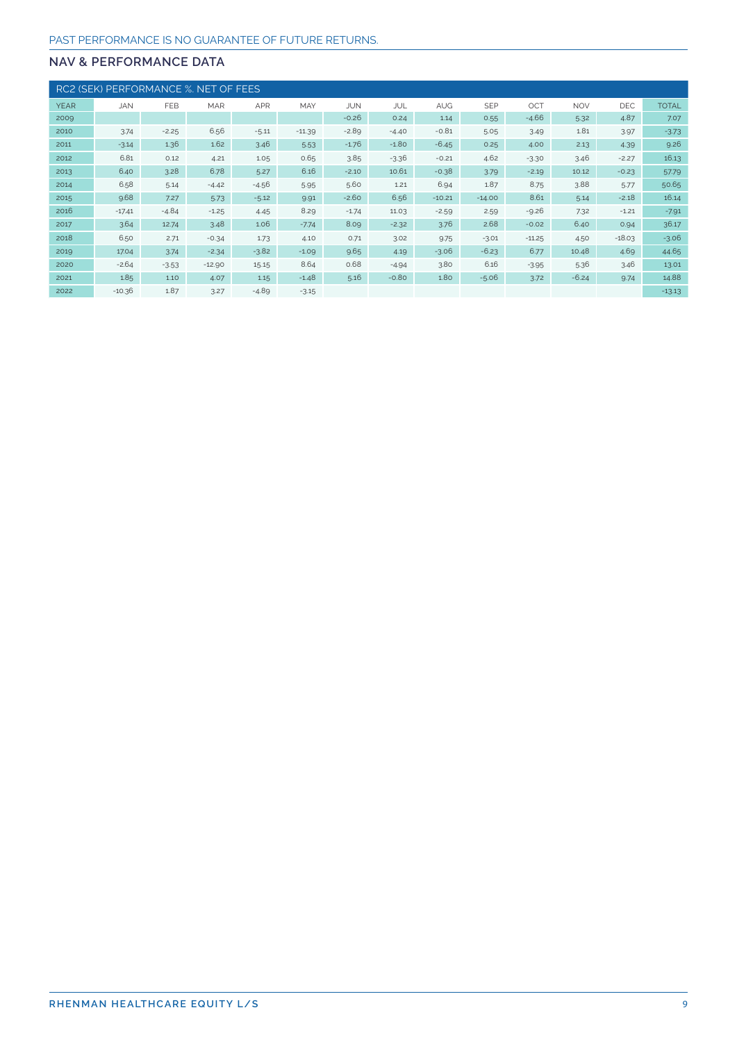|             | RC2 (SEK) PERFORMANCE %. NET OF FEES |         |            |            |          |            |         |          |            |          |            |            |              |
|-------------|--------------------------------------|---------|------------|------------|----------|------------|---------|----------|------------|----------|------------|------------|--------------|
| <b>YEAR</b> | <b>JAN</b>                           | FEB     | <b>MAR</b> | <b>APR</b> | MAY      | <b>JUN</b> | JUL     | AUG      | <b>SEP</b> | OCT      | <b>NOV</b> | <b>DEC</b> | <b>TOTAL</b> |
| 2009        |                                      |         |            |            |          | $-0.26$    | 0.24    | 1.14     | 0.55       | $-4.66$  | 5.32       | 4.87       | 7.07         |
| 2010        | 3.74                                 | $-2.25$ | 6.56       | $-5.11$    | $-11.39$ | $-2.89$    | $-4.40$ | $-0.81$  | 5.05       | 3.49     | 1.81       | 3.97       | $-3.73$      |
| 2011        | $-3.14$                              | 1.36    | 1.62       | 3.46       | 5.53     | $-1.76$    | $-1.80$ | $-6.45$  | 0.25       | 4.00     | 2.13       | 4.39       | 9.26         |
| 2012        | 6.81                                 | 0.12    | 4.21       | 1.05       | 0.65     | 3.85       | $-3.36$ | $-0.21$  | 4.62       | $-3.30$  | 3.46       | $-2.27$    | 16.13        |
| 2013        | 6.40                                 | 3.28    | 6.78       | 5.27       | 6.16     | $-2.10$    | 10.61   | $-0.38$  | 3.79       | $-2.19$  | 10.12      | $-0.23$    | 57.79        |
| 2014        | 6.58                                 | 5.14    | $-4.42$    | $-4.56$    | 5.95     | 5.60       | 1.21    | 6.94     | 1.87       | 8.75     | 3.88       | 5.77       | 50.65        |
| 2015        | 9.68                                 | 7.27    | 5.73       | $-5.12$    | 9.91     | $-2.60$    | 6.56    | $-10.21$ | $-14.00$   | 8.61     | 5.14       | $-2.18$    | 16.14        |
| 2016        | $-17.41$                             | $-4.84$ | $-1.25$    | 4.45       | 8.29     | $-1.74$    | 11.03   | $-2.59$  | 2.59       | $-9.26$  | 7.32       | $-1.21$    | $-7.91$      |
| 2017        | 3.64                                 | 12.74   | 3.48       | 1.06       | $-7.74$  | 8.09       | $-2.32$ | 3.76     | 2.68       | $-0.02$  | 6.40       | 0.94       | 36.17        |
| 2018        | 6.50                                 | 2.71    | $-0.34$    | 1.73       | 4.10     | 0.71       | 3.02    | 9.75     | $-3.01$    | $-11.25$ | 4.50       | $-18.03$   | $-3.06$      |
| 2019        | 17.04                                | 3.74    | $-2.34$    | $-3.82$    | $-1.09$  | 9.65       | 4.19    | $-3.06$  | $-6.23$    | 6.77     | 10.48      | 4.69       | 44.65        |
| 2020        | $-2.64$                              | $-3.53$ | $-12.90$   | 15.15      | 8.64     | 0.68       | $-4.94$ | 3.80     | 6.16       | $-3.95$  | 5.36       | 3.46       | 13.01        |
| 2021        | 1.85                                 | 1.10    | 4.07       | 1.15       | $-1.48$  | 5.16       | $-0.80$ | 1.80     | $-5.06$    | 3.72     | $-6.24$    | 9.74       | 14.88        |
| 2022        | $-10.36$                             | 1.87    | 3.27       | $-4.89$    | $-3.15$  |            |         |          |            |          |            |            | $-13.13$     |